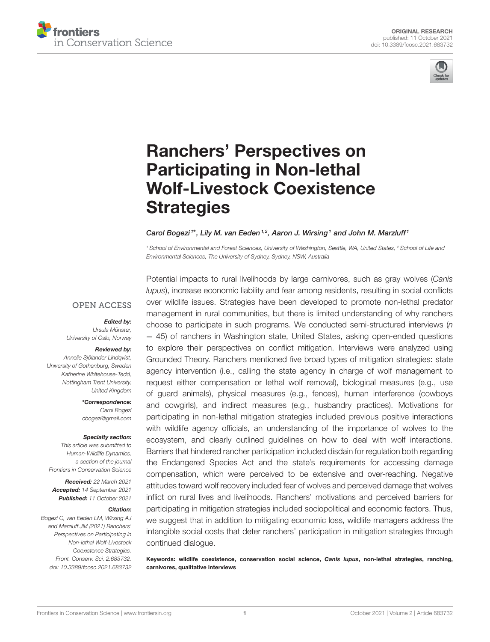



# Ranchers' Perspectives on Participating in Non-lethal [Wolf-Livestock Coexistence](https://www.frontiersin.org/articles/10.3389/fcosc.2021.683732/full) **Strategies**

#### Carol Bogezi<sup>1\*</sup>, Lily M. van Eeden<sup>1,2</sup>, Aaron J. Wirsing<sup>1</sup> and John M. Marzluff<sup>1</sup>

<sup>1</sup> School of Environmental and Forest Sciences, University of Washington, Seattle, WA, United States, <sup>2</sup> School of Life and Environmental Sciences, The University of Sydney, Sydney, NSW, Australia

#### **OPEN ACCESS**

#### Edited by:

Ursula Münster, University of Oslo, Norway

#### Reviewed by:

Annelie Sjölander Lindqvist, University of Gothenburg, Sweden Katherine Whitehouse-Tedd, Nottingham Trent University, United Kingdom

> \*Correspondence: Carol Bogezi [cbogezi@gmail.com](mailto:cbogezi@gmail.com)

#### Specialty section:

This article was submitted to Human-Wildlife Dynamics, a section of the journal Frontiers in Conservation Science

Received: 22 March 2021 Accepted: 14 September 2021 Published: 11 October 2021

#### Citation:

Bogezi C, van Eeden LM, Wirsing AJ and Marzluff JM (2021) Ranchers' Perspectives on Participating in Non-lethal Wolf-Livestock Coexistence Strategies. Front. Conserv. Sci. 2:683732. doi: [10.3389/fcosc.2021.683732](https://doi.org/10.3389/fcosc.2021.683732)

Potential impacts to rural livelihoods by large carnivores, such as gray wolves (Canis lupus), increase economic liability and fear among residents, resulting in social conflicts over wildlife issues. Strategies have been developed to promote non-lethal predator management in rural communities, but there is limited understanding of why ranchers choose to participate in such programs. We conducted semi-structured interviews (n  $=$  45) of ranchers in Washington state, United States, asking open-ended questions to explore their perspectives on conflict mitigation. Interviews were analyzed using Grounded Theory. Ranchers mentioned five broad types of mitigation strategies: state agency intervention (i.e., calling the state agency in charge of wolf management to request either compensation or lethal wolf removal), biological measures (e.g., use of guard animals), physical measures (e.g., fences), human interference (cowboys and cowgirls), and indirect measures (e.g., husbandry practices). Motivations for participating in non-lethal mitigation strategies included previous positive interactions with wildlife agency officials, an understanding of the importance of wolves to the ecosystem, and clearly outlined guidelines on how to deal with wolf interactions. Barriers that hindered rancher participation included disdain for regulation both regarding the Endangered Species Act and the state's requirements for accessing damage compensation, which were perceived to be extensive and over-reaching. Negative attitudes toward wolf recovery included fear of wolves and perceived damage that wolves inflict on rural lives and livelihoods. Ranchers' motivations and perceived barriers for participating in mitigation strategies included sociopolitical and economic factors. Thus, we suggest that in addition to mitigating economic loss, wildlife managers address the intangible social costs that deter ranchers' participation in mitigation strategies through continued dialogue.

Keywords: wildlife coexistence, conservation social science, Canis lupus, non-lethal strategies, ranching, carnivores, qualitative interviews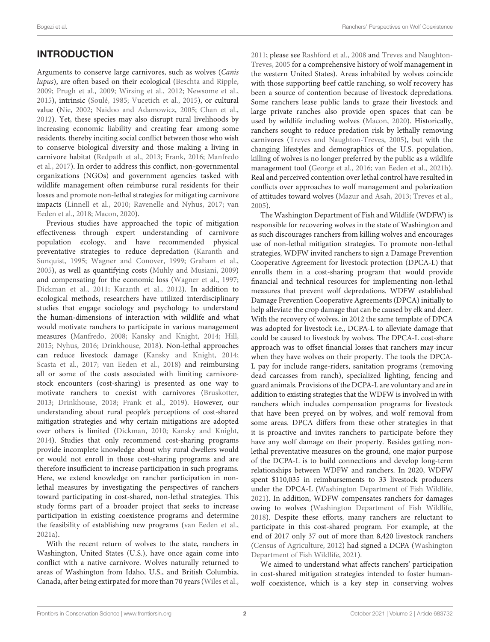# INTRODUCTION

Arguments to conserve large carnivores, such as wolves (Canis lupus), are often based on their ecological [\(Beschta and Ripple,](#page-9-0) [2009;](#page-9-0) [Prugh et al., 2009;](#page-10-0) [Wirsing et al., 2012;](#page-11-0) [Newsome et al.,](#page-10-1) [2015\)](#page-10-1), intrinsic [\(Soulé, 1985;](#page-11-1) [Vucetich et al., 2015\)](#page-11-2), or cultural value [\(Nie, 2002;](#page-10-2) [Naidoo and Adamowicz, 2005;](#page-10-3) [Chan et al.,](#page-10-4) [2012\)](#page-10-4). Yet, these species may also disrupt rural livelihoods by increasing economic liability and creating fear among some residents, thereby inciting social conflict between those who wish to conserve biological diversity and those making a living in carnivore habitat [\(Redpath et al., 2013;](#page-10-5) [Frank, 2016;](#page-10-6) Manfredo et al., [2017\)](#page-10-7). In order to address this conflict, non-governmental organizations (NGOs) and government agencies tasked with wildlife management often reimburse rural residents for their losses and promote non-lethal strategies for mitigating carnivore impacts [\(Linnell et al., 2010;](#page-10-8) [Ravenelle and Nyhus, 2017;](#page-10-9) van Eeden et al., [2018;](#page-11-3) [Macon, 2020\)](#page-10-10).

Previous studies have approached the topic of mitigation effectiveness through expert understanding of carnivore population ecology, and have recommended physical preventative strategies to reduce depredation (Karanth and Sunquist, [1995;](#page-10-11) [Wagner and Conover, 1999;](#page-11-4) [Graham et al.,](#page-10-12) [2005\)](#page-10-12), as well as quantifying costs [\(Muhly and Musiani, 2009\)](#page-10-13) and compensating for the economic loss [\(Wagner et al., 1997;](#page-11-5) [Dickman et al., 2011;](#page-10-14) [Karanth et al., 2012\)](#page-10-15). In addition to ecological methods, researchers have utilized interdisciplinary studies that engage sociology and psychology to understand the human-dimensions of interaction with wildlife and what would motivate ranchers to participate in various management measures [\(Manfredo, 2008;](#page-10-16) [Kansky and Knight, 2014;](#page-10-17) [Hill,](#page-10-18) [2015;](#page-10-18) [Nyhus, 2016;](#page-10-19) [Drinkhouse, 2018\)](#page-10-20). Non-lethal approaches can reduce livestock damage [\(Kansky and Knight, 2014;](#page-10-17) [Scasta et al., 2017;](#page-11-6) [van Eeden et al., 2018\)](#page-11-3) and reimbursing all or some of the costs associated with limiting carnivorestock encounters (cost-sharing) is presented as one way to motivate ranchers to coexist with carnivores [\(Bruskotter,](#page-9-1) [2013;](#page-9-1) [Drinkhouse, 2018;](#page-10-20) [Frank et al., 2019\)](#page-10-21). However, our understanding about rural people's perceptions of cost-shared mitigation strategies and why certain mitigations are adopted over others is limited [\(Dickman, 2010;](#page-10-22) [Kansky and Knight,](#page-10-17) [2014\)](#page-10-17). Studies that only recommend cost-sharing programs provide incomplete knowledge about why rural dwellers would or would not enroll in those cost-sharing programs and are therefore insufficient to increase participation in such programs. Here, we extend knowledge on rancher participation in nonlethal measures by investigating the perspectives of ranchers toward participating in cost-shared, non-lethal strategies. This study forms part of a broader project that seeks to increase participation in existing coexistence programs and determine the feasibility of establishing new programs [\(van Eeden et al.,](#page-11-7) [2021a\)](#page-11-7).

With the recent return of wolves to the state, ranchers in Washington, United States (U.S.), have once again come into conflict with a native carnivore. Wolves naturally returned to areas of Washington from Idaho, U.S., and British Columbia, Canada, after being extirpated for more than 70 years [\(Wiles et al.,](#page-11-8) [2011;](#page-11-8) please see [Rashford et al., 2008](#page-10-23) and Treves and Naughton-Treves, [2005](#page-11-9) for a comprehensive history of wolf management in the western United States). Areas inhabited by wolves coincide with those supporting beef cattle ranching, so wolf recovery has been a source of contention because of livestock depredations. Some ranchers lease public lands to graze their livestock and large private ranches also provide open spaces that can be used by wildlife including wolves [\(Macon, 2020\)](#page-10-10). Historically, ranchers sought to reduce predation risk by lethally removing carnivores [\(Treves and Naughton-Treves, 2005\)](#page-11-9), but with the changing lifestyles and demographics of the U.S. population, killing of wolves is no longer preferred by the public as a wildlife management tool [\(George et al., 2016;](#page-10-24) [van Eeden et al., 2021b\)](#page-11-10). Real and perceived contention over lethal control have resulted in conflicts over approaches to wolf management and polarization of attitudes toward wolves [\(Mazur and Asah, 2013;](#page-10-25) [Treves et al.,](#page-11-11) [2005\)](#page-11-11).

The Washington Department of Fish and Wildlife (WDFW) is responsible for recovering wolves in the state of Washington and as such discourages ranchers from killing wolves and encourages use of non-lethal mitigation strategies. To promote non-lethal strategies, WDFW invited ranchers to sign a Damage Prevention Cooperative Agreement for livestock protection (DPCA-L) that enrolls them in a cost-sharing program that would provide financial and technical resources for implementing non-lethal measures that prevent wolf depredations. WDFW established Damage Prevention Cooperative Agreements (DPCA) initially to help alleviate the crop damage that can be caused by elk and deer. With the recovery of wolves, in 2012 the same template of DPCA was adopted for livestock i.e., DCPA-L to alleviate damage that could be caused to livestock by wolves. The DPCA-L cost-share approach was to offset financial losses that ranchers may incur when they have wolves on their property. The tools the DPCA-L pay for include range-riders, sanitation programs (removing dead carcasses from ranch), specialized lighting, fencing and guard animals. Provisions of the DCPA-L are voluntary and are in addition to existing strategies that the WDFW is involved in with ranchers which includes compensation programs for livestock that have been preyed on by wolves, and wolf removal from some areas. DPCA differs from these other strategies in that it is proactive and invites ranchers to participate before they have any wolf damage on their property. Besides getting nonlethal preventative measures on the ground, one major purpose of the DCPA-L is to build connections and develop long-term relationships between WDFW and ranchers. In 2020, WDFW spent \$110,035 in reimbursements to 33 livestock producers under the DPCA-L [\(Washington Department of Fish Wildlife,](#page-11-12) [2021\)](#page-11-12). In addition, WDFW compensates ranchers for damages owing to wolves [\(Washington Department of Fish Wildlife,](#page-11-13) [2018\)](#page-11-13). Despite these efforts, many ranchers are reluctant to participate in this cost-shared program. For example, at the end of 2017 only 37 out of more than 8,420 livestock ranchers [\(Census of Agriculture, 2012\)](#page-9-2) had signed a DCPA (Washington Department of Fish Wildlife, [2021\)](#page-11-12).

We aimed to understand what affects ranchers' participation in cost-shared mitigation strategies intended to foster humanwolf coexistence, which is a key step in conserving wolves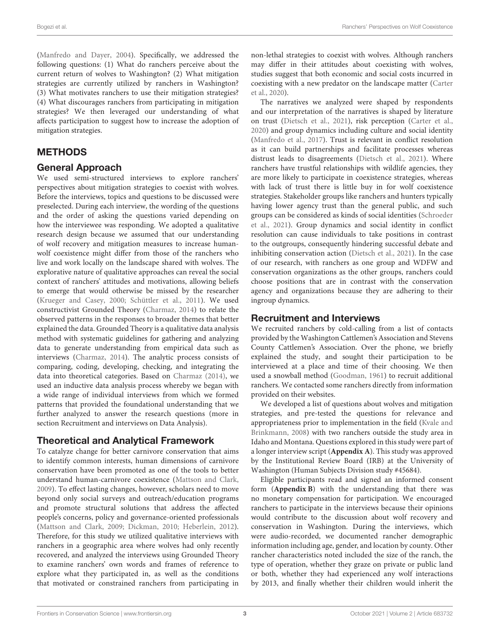[\(Manfredo and Dayer, 2004\)](#page-10-26). Specifically, we addressed the following questions: (1) What do ranchers perceive about the current return of wolves to Washington? (2) What mitigation strategies are currently utilized by ranchers in Washington? (3) What motivates ranchers to use their mitigation strategies? (4) What discourages ranchers from participating in mitigation strategies? We then leveraged our understanding of what affects participation to suggest how to increase the adoption of mitigation strategies.

# METHODS

#### General Approach

We used semi-structured interviews to explore ranchers' perspectives about mitigation strategies to coexist with wolves. Before the interviews, topics and questions to be discussed were preselected. During each interview, the wording of the questions and the order of asking the questions varied depending on how the interviewee was responding. We adopted a qualitative research design because we assumed that our understanding of wolf recovery and mitigation measures to increase humanwolf coexistence might differ from those of the ranchers who live and work locally on the landscape shared with wolves. The explorative nature of qualitative approaches can reveal the social context of ranchers' attitudes and motivations, allowing beliefs to emerge that would otherwise be missed by the researcher [\(Krueger and Casey, 2000;](#page-10-27) [Schüttler et al., 2011\)](#page-11-14). We used constructivist Grounded Theory [\(Charmaz, 2014\)](#page-10-28) to relate the observed patterns in the responses to broader themes that better explained the data. Grounded Theory is a qualitative data analysis method with systematic guidelines for gathering and analyzing data to generate understanding from empirical data such as interviews [\(Charmaz, 2014\)](#page-10-28). The analytic process consists of comparing, coding, developing, checking, and integrating the data into theoretical categories. Based on [Charmaz \(2014\)](#page-10-28), we used an inductive data analysis process whereby we began with a wide range of individual interviews from which we formed patterns that provided the foundational understanding that we further analyzed to answer the research questions (more in section Recruitment and interviews on Data Analysis).

### Theoretical and Analytical Framework

To catalyze change for better carnivore conservation that aims to identify common interests, human dimensions of carnivore conservation have been promoted as one of the tools to better understand human-carnivore coexistence [\(Mattson and Clark,](#page-10-29) [2009\)](#page-10-29). To effect lasting changes, however, scholars need to move beyond only social surveys and outreach/education programs and promote structural solutions that address the affected people's concerns, policy and governance-oriented professionals [\(Mattson and Clark, 2009;](#page-10-29) [Dickman, 2010;](#page-10-22) [Heberlein, 2012\)](#page-10-30). Therefore, for this study we utilized qualitative interviews with ranchers in a geographic area where wolves had only recently recovered, and analyzed the interviews using Grounded Theory to examine ranchers' own words and frames of reference to explore what they participated in, as well as the conditions that motivated or constrained ranchers from participating in non-lethal strategies to coexist with wolves. Although ranchers may differ in their attitudes about coexisting with wolves, studies suggest that both economic and social costs incurred in coexisting with a new predator on the landscape matter (Carter et al., [2020\)](#page-9-3).

The narratives we analyzed were shaped by respondents and our interpretation of the narratives is shaped by literature on trust [\(Dietsch et al., 2021\)](#page-10-31), risk perception [\(Carter et al.,](#page-9-3) [2020\)](#page-9-3) and group dynamics including culture and social identity [\(Manfredo et al., 2017\)](#page-10-7). Trust is relevant in conflict resolution as it can build partnerships and facilitate processes whereas distrust leads to disagreements [\(Dietsch et al., 2021\)](#page-10-31). Where ranchers have trustful relationships with wildlife agencies, they are more likely to participate in coexistence strategies, whereas with lack of trust there is little buy in for wolf coexistence strategies. Stakeholder groups like ranchers and hunters typically having lower agency trust than the general public, and such groups can be considered as kinds of social identities (Schroeder et al., [2021\)](#page-11-15). Group dynamics and social identity in conflict resolution can cause individuals to take positions in contrast to the outgroups, consequently hindering successful debate and inhibiting conservation action [\(Dietsch et al., 2021\)](#page-10-31). In the case of our research, with ranchers as one group and WDFW and conservation organizations as the other groups, ranchers could choose positions that are in contrast with the conservation agency and organizations because they are adhering to their ingroup dynamics.

#### Recruitment and Interviews

We recruited ranchers by cold-calling from a list of contacts provided by the Washington Cattlemen's Association and Stevens County Cattlemen's Association. Over the phone, we briefly explained the study, and sought their participation to be interviewed at a place and time of their choosing. We then used a snowball method [\(Goodman, 1961\)](#page-10-32) to recruit additional ranchers. We contacted some ranchers directly from information provided on their websites.

We developed a list of questions about wolves and mitigation strategies, and pre-tested the questions for relevance and appropriateness prior to implementation in the field (Kvale and Brinkmann, [2008\)](#page-10-33) with two ranchers outside the study area in Idaho and Montana. Questions explored in this study were part of a longer interview script (**[Appendix A](#page-9-4)**). This study was approved by the Institutional Review Board (IRB) at the University of Washington (Human Subjects Division study #45684).

Eligible participants read and signed an informed consent form (**[Appendix B](#page-9-4)**) with the understanding that there was no monetary compensation for participation. We encouraged ranchers to participate in the interviews because their opinions would contribute to the discussion about wolf recovery and conservation in Washington. During the interviews, which were audio-recorded, we documented rancher demographic information including age, gender, and location by county. Other rancher characteristics noted included the size of the ranch, the type of operation, whether they graze on private or public land or both, whether they had experienced any wolf interactions by 2013, and finally whether their children would inherit the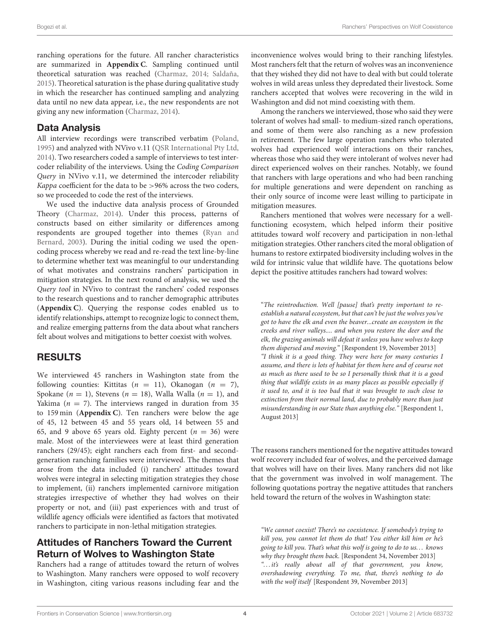ranching operations for the future. All rancher characteristics are summarized in **[Appendix C](#page-9-4)**. Sampling continued until theoretical saturation was reached [\(Charmaz, 2014;](#page-10-28) [Saldaña,](#page-10-34) [2015\)](#page-10-34). Theoretical saturation is the phase during qualitative study in which the researcher has continued sampling and analyzing data until no new data appear, i.e., the new respondents are not giving any new information [\(Charmaz, 2014\)](#page-10-28).

#### Data Analysis

All interview recordings were transcribed verbatim [\(Poland,](#page-10-35) [1995\)](#page-10-35) and analyzed with NVivo v.11 [\(QSR International Pty Ltd,](#page-10-36) [2014\)](#page-10-36). Two researchers coded a sample of interviews to test intercoder reliability of the interviews. Using the Coding Comparison Query in NVivo v.11, we determined the intercoder reliability Kappa coefficient for the data to be >96% across the two coders, so we proceeded to code the rest of the interviews.

We used the inductive data analysis process of Grounded Theory [\(Charmaz, 2014\)](#page-10-28). Under this process, patterns of constructs based on either similarity or differences among respondents are grouped together into themes (Ryan and Bernard, [2003\)](#page-10-37). During the initial coding we used the opencoding process whereby we read and re-read the text line-by-line to determine whether text was meaningful to our understanding of what motivates and constrains ranchers' participation in mitigation strategies. In the next round of analysis, we used the Query tool in NVivo to contrast the ranchers' coded responses to the research questions and to rancher demographic attributes (**[Appendix C](#page-9-4)**). Querying the response codes enabled us to identify relationships, attempt to recognize logic to connect them, and realize emerging patterns from the data about what ranchers felt about wolves and mitigations to better coexist with wolves.

### RESULTS

We interviewed 45 ranchers in Washington state from the following counties: Kittitas ( $n = 11$ ), Okanogan ( $n = 7$ ), Spokane ( $n = 1$ ), Stevens ( $n = 18$ ), Walla Walla ( $n = 1$ ), and Yakima ( $n = 7$ ). The interviews ranged in duration from 35 to 159 min (**[Appendix C](#page-9-4)**). Ten ranchers were below the age of 45, 12 between 45 and 55 years old, 14 between 55 and 65, and 9 above 65 years old. Eighty percent ( $n = 36$ ) were male. Most of the interviewees were at least third generation ranchers (29/45); eight ranchers each from first- and secondgeneration ranching families were interviewed. The themes that arose from the data included (i) ranchers' attitudes toward wolves were integral in selecting mitigation strategies they chose to implement, (ii) ranchers implemented carnivore mitigation strategies irrespective of whether they had wolves on their property or not, and (iii) past experiences with and trust of wildlife agency officials were identified as factors that motivated ranchers to participate in non-lethal mitigation strategies.

# Attitudes of Ranchers Toward the Current Return of Wolves to Washington State

Ranchers had a range of attitudes toward the return of wolves to Washington. Many ranchers were opposed to wolf recovery in Washington, citing various reasons including fear and the inconvenience wolves would bring to their ranching lifestyles. Most ranchers felt that the return of wolves was an inconvenience that they wished they did not have to deal with but could tolerate wolves in wild areas unless they depredated their livestock. Some ranchers accepted that wolves were recovering in the wild in Washington and did not mind coexisting with them.

Among the ranchers we interviewed, those who said they were tolerant of wolves had small- to medium-sized ranch operations, and some of them were also ranching as a new profession in retirement. The few large operation ranchers who tolerated wolves had experienced wolf interactions on their ranches, whereas those who said they were intolerant of wolves never had direct experienced wolves on their ranches. Notably, we found that ranchers with large operations and who had been ranching for multiple generations and were dependent on ranching as their only source of income were least willing to participate in mitigation measures.

Ranchers mentioned that wolves were necessary for a wellfunctioning ecosystem, which helped inform their positive attitudes toward wolf recovery and participation in non-lethal mitigation strategies. Other ranchers cited the moral obligation of humans to restore extirpated biodiversity including wolves in the wild for intrinsic value that wildlife have. The quotations below depict the positive attitudes ranchers had toward wolves:

"The reintroduction. Well [pause] that's pretty important to reestablish a natural ecosystem, but that can't be just the wolves you've got to have the elk and even the beaver...create an ecosystem in the creeks and river valleys.... and when you restore the deer and the elk, the grazing animals will defeat it unless you have wolves to keep them dispersed and moving." [Respondent 19, November 2013] "I think it is a good thing. They were here for many centuries I assume, and there is lots of habitat for them here and of course not as much as there used to be so I personally think that it is a good thing that wildlife exists in as many places as possible especially if it used to, and it is too bad that it was brought to such close to extinction from their normal land, due to probably more than just misunderstanding in our State than anything else." [Respondent 1, August 2013]

The reasons ranchers mentioned for the negative attitudes toward wolf recovery included fear of wolves, and the perceived damage that wolves will have on their lives. Many ranchers did not like that the government was involved in wolf management. The following quotations portray the negative attitudes that ranchers held toward the return of the wolves in Washington state:

"We cannot coexist! There's no coexistence. If somebody's trying to kill you, you cannot let them do that! You either kill him or he's going to kill you. That's what this wolf is going to do to us. . . knows why they brought them back. [Respondent 34, November 2013] "... it's really about all of that government, you know, overshadowing everything. To me, that, there's nothing to do with the wolf itself [Respondent 39, November 2013]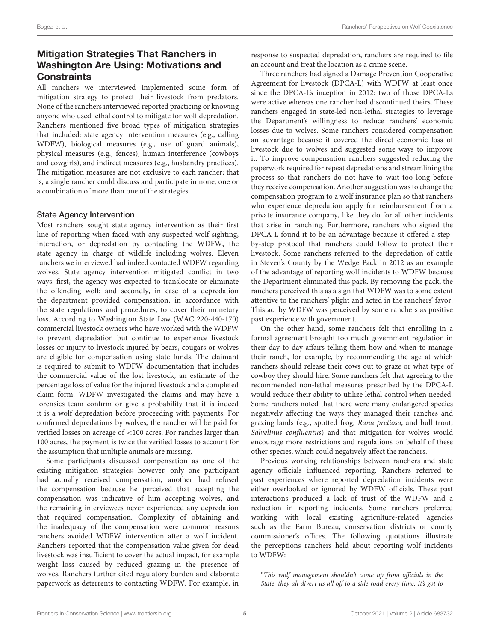# Mitigation Strategies That Ranchers in Washington Are Using: Motivations and **Constraints**

All ranchers we interviewed implemented some form of mitigation strategy to protect their livestock from predators. None of the ranchers interviewed reported practicing or knowing anyone who used lethal control to mitigate for wolf depredation. Ranchers mentioned five broad types of mitigation strategies that included: state agency intervention measures (e.g., calling WDFW), biological measures (e.g., use of guard animals), physical measures (e.g., fences), human interference (cowboys and cowgirls), and indirect measures (e.g., husbandry practices). The mitigation measures are not exclusive to each rancher; that is, a single rancher could discuss and participate in none, one or a combination of more than one of the strategies.

#### State Agency Intervention

Most ranchers sought state agency intervention as their first line of reporting when faced with any suspected wolf sighting, interaction, or depredation by contacting the WDFW, the state agency in charge of wildlife including wolves. Eleven ranchers we interviewed had indeed contacted WDFW regarding wolves. State agency intervention mitigated conflict in two ways: first, the agency was expected to translocate or eliminate the offending wolf; and secondly, in case of a depredation the department provided compensation, in accordance with the state regulations and procedures, to cover their monetary loss. According to Washington State Law (WAC 220-440-170) commercial livestock owners who have worked with the WDFW to prevent depredation but continue to experience livestock losses or injury to livestock injured by bears, cougars or wolves are eligible for compensation using state funds. The claimant is required to submit to WDFW documentation that includes the commercial value of the lost livestock, an estimate of the percentage loss of value for the injured livestock and a completed claim form. WDFW investigated the claims and may have a forensics team confirm or give a probability that it is indeed it is a wolf depredation before proceeding with payments. For confirmed depredations by wolves, the rancher will be paid for verified losses on acreage of <100 acres. For ranches larger than 100 acres, the payment is twice the verified losses to account for the assumption that multiple animals are missing.

Some participants discussed compensation as one of the existing mitigation strategies; however, only one participant had actually received compensation, another had refused the compensation because he perceived that accepting the compensation was indicative of him accepting wolves, and the remaining interviewees never experienced any depredation that required compensation. Complexity of obtaining and the inadequacy of the compensation were common reasons ranchers avoided WDFW intervention after a wolf incident. Ranchers reported that the compensation value given for dead livestock was insufficient to cover the actual impact, for example weight loss caused by reduced grazing in the presence of wolves. Ranchers further cited regulatory burden and elaborate paperwork as deterrents to contacting WDFW. For example, in

response to suspected depredation, ranchers are required to file an account and treat the location as a crime scene.

Three ranchers had signed a Damage Prevention Cooperative Agreement for livestock (DPCA-L) with WDFW at least once since the DPCA-L's inception in 2012: two of those DPCA-Ls were active whereas one rancher had discontinued theirs. These ranchers engaged in state-led non-lethal strategies to leverage the Department's willingness to reduce ranchers' economic losses due to wolves. Some ranchers considered compensation an advantage because it covered the direct economic loss of livestock due to wolves and suggested some ways to improve it. To improve compensation ranchers suggested reducing the paperwork required for repeat depredations and streamlining the process so that ranchers do not have to wait too long before they receive compensation. Another suggestion was to change the compensation program to a wolf insurance plan so that ranchers who experience depredation apply for reimbursement from a private insurance company, like they do for all other incidents that arise in ranching. Furthermore, ranchers who signed the DPCA-L found it to be an advantage because it offered a stepby-step protocol that ranchers could follow to protect their livestock. Some ranchers referred to the depredation of cattle in Steven's County by the Wedge Pack in 2012 as an example of the advantage of reporting wolf incidents to WDFW because the Department eliminated this pack. By removing the pack, the ranchers perceived this as a sign that WDFW was to some extent attentive to the ranchers' plight and acted in the ranchers' favor. This act by WDFW was perceived by some ranchers as positive past experience with government.

On the other hand, some ranchers felt that enrolling in a formal agreement brought too much government regulation in their day-to-day affairs telling them how and when to manage their ranch, for example, by recommending the age at which ranchers should release their cows out to graze or what type of cowboy they should hire. Some ranchers felt that agreeing to the recommended non-lethal measures prescribed by the DPCA-L would reduce their ability to utilize lethal control when needed. Some ranchers noted that there were many endangered species negatively affecting the ways they managed their ranches and grazing lands (e.g., spotted frog, Rana pretiosa, and bull trout, Salvelinus confluentus) and that mitigation for wolves would encourage more restrictions and regulations on behalf of these other species, which could negatively affect the ranchers.

Previous working relationships between ranchers and state agency officials influenced reporting. Ranchers referred to past experiences where reported depredation incidents were either overlooked or ignored by WDFW officials. These past interactions produced a lack of trust of the WDFW and a reduction in reporting incidents. Some ranchers preferred working with local existing agriculture-related agencies such as the Farm Bureau, conservation districts or county commissioner's offices. The following quotations illustrate the perceptions ranchers held about reporting wolf incidents to WDFW:

"This wolf management shouldn't come up from officials in the State, they all divert us all off to a side road every time. It's got to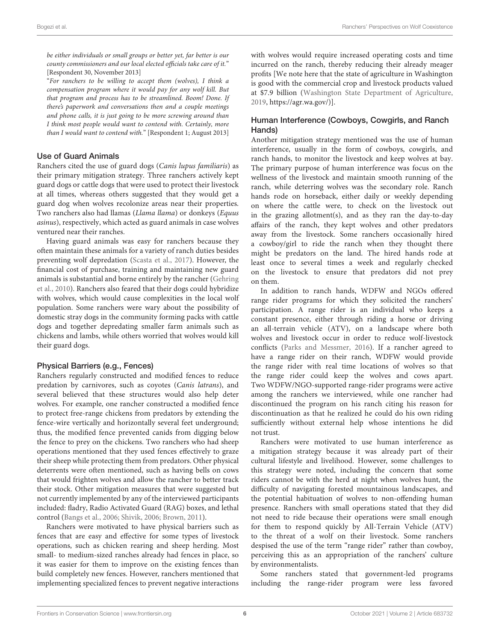be either individuals or small groups or better yet, far better is our county commissioners and our local elected officials take care of it." [Respondent 30, November 2013]

"For ranchers to be willing to accept them (wolves), I think a compensation program where it would pay for any wolf kill. But that program and process has to be streamlined. Boom! Done. If there's paperwork and conversations then and a couple meetings and phone calls, it is just going to be more screwing around than I think most people would want to contend with. Certainly, more than I would want to contend with." [Respondent 1; August 2013]

#### Use of Guard Animals

Ranchers cited the use of guard dogs (Canis lupus familiaris) as their primary mitigation strategy. Three ranchers actively kept guard dogs or cattle dogs that were used to protect their livestock at all times, whereas others suggested that they would get a guard dog when wolves recolonize areas near their properties. Two ranchers also had llamas (Llama llama) or donkeys (Equus asinus), respectively, which acted as guard animals in case wolves ventured near their ranches.

Having guard animals was easy for ranchers because they often maintain these animals for a variety of ranch duties besides preventing wolf depredation [\(Scasta et al., 2017\)](#page-11-6). However, the financial cost of purchase, training and maintaining new guard animals is substantial and borne entirely by the rancher (Gehring et al., [2010\)](#page-10-38). Ranchers also feared that their dogs could hybridize with wolves, which would cause complexities in the local wolf population. Some ranchers were wary about the possibility of domestic stray dogs in the community forming packs with cattle dogs and together depredating smaller farm animals such as chickens and lambs, while others worried that wolves would kill their guard dogs.

#### Physical Barriers (e.g., Fences)

Ranchers regularly constructed and modified fences to reduce predation by carnivores, such as coyotes (Canis latrans), and several believed that these structures would also help deter wolves. For example, one rancher constructed a modified fence to protect free-range chickens from predators by extending the fence-wire vertically and horizontally several feet underground; thus, the modified fence prevented canids from digging below the fence to prey on the chickens. Two ranchers who had sheep operations mentioned that they used fences effectively to graze their sheep while protecting them from predators. Other physical deterrents were often mentioned, such as having bells on cows that would frighten wolves and allow the rancher to better track their stock. Other mitigation measures that were suggested but not currently implemented by any of the interviewed participants included: fladry, Radio Activated Guard (RAG) boxes, and lethal control [\(Bangs et al., 2006;](#page-9-5) [Shivik, 2006;](#page-11-16) [Brown, 2011\)](#page-9-6).

Ranchers were motivated to have physical barriers such as fences that are easy and effective for some types of livestock operations, such as chicken rearing and sheep herding. Most small- to medium-sized ranches already had fences in place, so it was easier for them to improve on the existing fences than build completely new fences. However, ranchers mentioned that implementing specialized fences to prevent negative interactions with wolves would require increased operating costs and time incurred on the ranch, thereby reducing their already meager profits [We note here that the state of agriculture in Washington is good with the commercial crop and livestock products valued at \$7.9 billion [\(Washington State Department of Agriculture,](#page-11-17) [2019,](#page-11-17) [https://agr.wa.gov/\)](https://agr.wa.gov/)].

#### Human Interference (Cowboys, Cowgirls, and Ranch Hands)

Another mitigation strategy mentioned was the use of human interference, usually in the form of cowboys, cowgirls, and ranch hands, to monitor the livestock and keep wolves at bay. The primary purpose of human interference was focus on the wellness of the livestock and maintain smooth running of the ranch, while deterring wolves was the secondary role. Ranch hands rode on horseback, either daily or weekly depending on where the cattle were, to check on the livestock out in the grazing allotment(s), and as they ran the day-to-day affairs of the ranch, they kept wolves and other predators away from the livestock. Some ranchers occasionally hired a cowboy/girl to ride the ranch when they thought there might be predators on the land. The hired hands rode at least once to several times a week and regularly checked on the livestock to ensure that predators did not prey on them.

In addition to ranch hands, WDFW and NGOs offered range rider programs for which they solicited the ranchers' participation. A range rider is an individual who keeps a constant presence, either through riding a horse or driving an all-terrain vehicle (ATV), on a landscape where both wolves and livestock occur in order to reduce wolf-livestock conflicts [\(Parks and Messmer, 2016\)](#page-10-39). If a rancher agreed to have a range rider on their ranch, WDFW would provide the range rider with real time locations of wolves so that the range rider could keep the wolves and cows apart. Two WDFW/NGO-supported range-rider programs were active among the ranchers we interviewed, while one rancher had discontinued the program on his ranch citing his reason for discontinuation as that he realized he could do his own riding sufficiently without external help whose intentions he did not trust.

Ranchers were motivated to use human interference as a mitigation strategy because it was already part of their cultural lifestyle and livelihood. However, some challenges to this strategy were noted, including the concern that some riders cannot be with the herd at night when wolves hunt, the difficulty of navigating forested mountainous landscapes, and the potential habituation of wolves to non-offending human presence. Ranchers with small operations stated that they did not need to ride because their operations were small enough for them to respond quickly by All-Terrain Vehicle (ATV) to the threat of a wolf on their livestock. Some ranchers despised the use of the term "range rider" rather than cowboy, perceiving this as an appropriation of the ranchers' culture by environmentalists.

Some ranchers stated that government-led programs including the range-rider program were less favored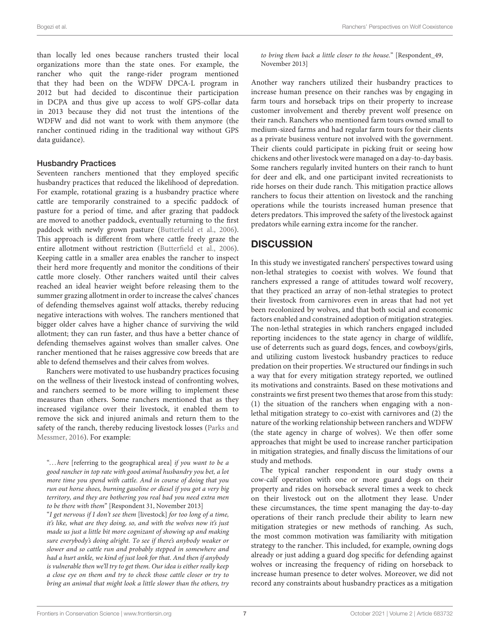than locally led ones because ranchers trusted their local organizations more than the state ones. For example, the rancher who quit the range-rider program mentioned that they had been on the WDFW DPCA-L program in 2012 but had decided to discontinue their participation in DCPA and thus give up access to wolf GPS-collar data in 2013 because they did not trust the intentions of the WDFW and did not want to work with them anymore (the rancher continued riding in the traditional way without GPS data guidance).

#### Husbandry Practices

Seventeen ranchers mentioned that they employed specific husbandry practices that reduced the likelihood of depredation. For example, rotational grazing is a husbandry practice where cattle are temporarily constrained to a specific paddock of pasture for a period of time, and after grazing that paddock are moved to another paddock, eventually returning to the first paddock with newly grown pasture [\(Butterfield et al., 2006\)](#page-9-7). This approach is different from where cattle freely graze the entire allotment without restriction [\(Butterfield et al., 2006\)](#page-9-7). Keeping cattle in a smaller area enables the rancher to inspect their herd more frequently and monitor the conditions of their cattle more closely. Other ranchers waited until their calves reached an ideal heavier weight before releasing them to the summer grazing allotment in order to increase the calves' chances of defending themselves against wolf attacks, thereby reducing negative interactions with wolves. The ranchers mentioned that bigger older calves have a higher chance of surviving the wild allotment; they can run faster, and thus have a better chance of defending themselves against wolves than smaller calves. One rancher mentioned that he raises aggressive cow breeds that are able to defend themselves and their calves from wolves.

Ranchers were motivated to use husbandry practices focusing on the wellness of their livestock instead of confronting wolves, and ranchers seemed to be more willing to implement these measures than others. Some ranchers mentioned that as they increased vigilance over their livestock, it enabled them to remove the sick and injured animals and return them to the safety of the ranch, thereby reducing livestock losses (Parks and Messmer, [2016\)](#page-10-39). For example:

"... here [referring to the geographical area] if you want to be a good rancher in top rate with good animal husbandry you bet, a lot more time you spend with cattle. And in course of doing that you run out horse shoes, burning gasoline or diesel if you got a very big territory, and they are bothering you real bad you need extra men to be there with them" [Respondent 31, November 2013]

"I get nervous if I don't see them [livestock] for too long of a time, it's like, what are they doing, so, and with the wolves now it's just made us just a little bit more cognizant of showing up and making sure everybody's doing alright. To see if there's anybody weaker or slower and so cattle run and probably stepped in somewhere and had a hurt ankle, we kind of just look for that. And then if anybody is vulnerable then we'll try to get them. Our idea is either really keep a close eye on them and try to check those cattle closer or try to bring an animal that might look a little slower than the others, try to bring them back a little closer to the house." [Respondent\_49, November 2013]

Another way ranchers utilized their husbandry practices to increase human presence on their ranches was by engaging in farm tours and horseback trips on their property to increase customer involvement and thereby prevent wolf presence on their ranch. Ranchers who mentioned farm tours owned small to medium-sized farms and had regular farm tours for their clients as a private business venture not involved with the government. Their clients could participate in picking fruit or seeing how chickens and other livestock were managed on a day-to-day basis. Some ranchers regularly invited hunters on their ranch to hunt for deer and elk, and one participant invited recreationists to ride horses on their dude ranch. This mitigation practice allows ranchers to focus their attention on livestock and the ranching operations while the tourists increased human presence that deters predators. This improved the safety of the livestock against predators while earning extra income for the rancher.

# **DISCUSSION**

In this study we investigated ranchers' perspectives toward using non-lethal strategies to coexist with wolves. We found that ranchers expressed a range of attitudes toward wolf recovery, that they practiced an array of non-lethal strategies to protect their livestock from carnivores even in areas that had not yet been recolonized by wolves, and that both social and economic factors enabled and constrained adoption of mitigation strategies. The non-lethal strategies in which ranchers engaged included reporting incidences to the state agency in charge of wildlife, use of deterrents such as guard dogs, fences, and cowboys/girls, and utilizing custom livestock husbandry practices to reduce predation on their properties. We structured our findings in such a way that for every mitigation strategy reported, we outlined its motivations and constraints. Based on these motivations and constraints we first present two themes that arose from this study: (1) the situation of the ranchers when engaging with a nonlethal mitigation strategy to co-exist with carnivores and (2) the nature of the working relationship between ranchers and WDFW (the state agency in charge of wolves). We then offer some approaches that might be used to increase rancher participation in mitigation strategies, and finally discuss the limitations of our study and methods.

The typical rancher respondent in our study owns a cow-calf operation with one or more guard dogs on their property and rides on horseback several times a week to check on their livestock out on the allotment they lease. Under these circumstances, the time spent managing the day-to-day operations of their ranch preclude their ability to learn new mitigation strategies or new methods of ranching. As such, the most common motivation was familiarity with mitigation strategy to the rancher. This included, for example, owning dogs already or just adding a guard dog specific for defending against wolves or increasing the frequency of riding on horseback to increase human presence to deter wolves. Moreover, we did not record any constraints about husbandry practices as a mitigation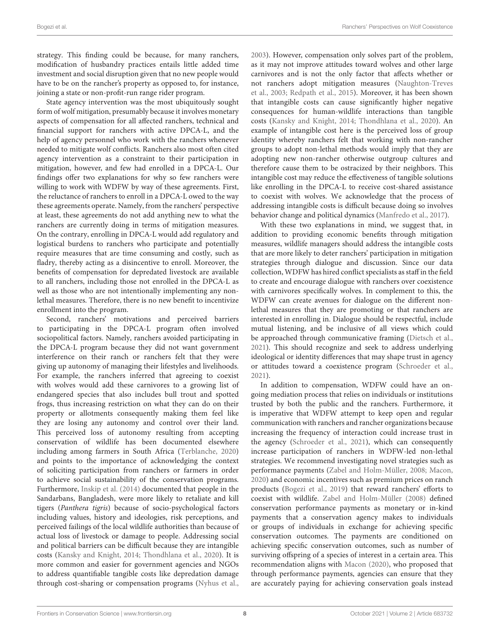strategy. This finding could be because, for many ranchers, modification of husbandry practices entails little added time investment and social disruption given that no new people would have to be on the rancher's property as opposed to, for instance, joining a state or non-profit-run range rider program.

State agency intervention was the most ubiquitously sought form of wolf mitigation, presumably because it involves monetary aspects of compensation for all affected ranchers, technical and financial support for ranchers with active DPCA-L, and the help of agency personnel who work with the ranchers whenever needed to mitigate wolf conflicts. Ranchers also most often cited agency intervention as a constraint to their participation in mitigation, however, and few had enrolled in a DPCA-L. Our findings offer two explanations for why so few ranchers were willing to work with WDFW by way of these agreements. First, the reluctance of ranchers to enroll in a DPCA-L owed to the way these agreements operate. Namely, from the ranchers' perspective at least, these agreements do not add anything new to what the ranchers are currently doing in terms of mitigation measures. On the contrary, enrolling in DPCA-L would add regulatory and logistical burdens to ranchers who participate and potentially require measures that are time consuming and costly, such as fladry, thereby acting as a disincentive to enroll. Moreover, the benefits of compensation for depredated livestock are available to all ranchers, including those not enrolled in the DPCA-L as well as those who are not intentionally implementing any nonlethal measures. Therefore, there is no new benefit to incentivize enrollment into the program.

Second, ranchers' motivations and perceived barriers to participating in the DPCA-L program often involved sociopolitical factors. Namely, ranchers avoided participating in the DPCA-L program because they did not want government interference on their ranch or ranchers felt that they were giving up autonomy of managing their lifestyles and livelihoods. For example, the ranchers inferred that agreeing to coexist with wolves would add these carnivores to a growing list of endangered species that also includes bull trout and spotted frogs, thus increasing restriction on what they can do on their property or allotments consequently making them feel like they are losing any autonomy and control over their land. This perceived loss of autonomy resulting from accepting conservation of wildlife has been documented elsewhere including among farmers in South Africa [\(Terblanche, 2020\)](#page-11-18) and points to the importance of acknowledging the context of soliciting participation from ranchers or farmers in order to achieve social sustainability of the conservation programs. Furthermore, [Inskip et al. \(2014\)](#page-10-40) documented that people in the Sandarbans, Bangladesh, were more likely to retaliate and kill tigers (Panthera tigris) because of socio-psychological factors including values, history and ideologies, risk perceptions, and perceived failings of the local wildlife authorities than because of actual loss of livestock or damage to people. Addressing social and political barriers can be difficult because they are intangible costs [\(Kansky and Knight, 2014;](#page-10-17) [Thondhlana et al., 2020\)](#page-11-19). It is more common and easier for government agencies and NGOs to address quantifiable tangible costs like depredation damage through cost-sharing or compensation programs [\(Nyhus et al.,](#page-10-41) [2003\)](#page-10-41). However, compensation only solves part of the problem, as it may not improve attitudes toward wolves and other large carnivores and is not the only factor that affects whether or not ranchers adopt mitigation measures (Naughton-Treves et al., [2003;](#page-10-42) [Redpath et al., 2015\)](#page-10-43). Moreover, it has been shown that intangible costs can cause significantly higher negative consequences for human-wildlife interactions than tangible costs [\(Kansky and Knight, 2014;](#page-10-17) [Thondhlana et al., 2020\)](#page-11-19). An example of intangible cost here is the perceived loss of group identity whereby ranchers felt that working with non-rancher groups to adopt non-lethal methods would imply that they are adopting new non-rancher otherwise outgroup cultures and therefore cause them to be ostracized by their neighbors. This intangible cost may reduce the effectiveness of tangible solutions like enrolling in the DPCA-L to receive cost-shared assistance to coexist with wolves. We acknowledge that the process of addressing intangible costs is difficult because doing so involves behavior change and political dynamics [\(Manfredo et al., 2017\)](#page-10-7).

With these two explanations in mind, we suggest that, in addition to providing economic benefits through mitigation measures, wildlife managers should address the intangible costs that are more likely to deter ranchers' participation in mitigation strategies through dialogue and discussion. Since our data collection, WDFW has hired conflict specialists as staff in the field to create and encourage dialogue with ranchers over coexistence with carnivores specifically wolves. In complement to this, the WDFW can create avenues for dialogue on the different nonlethal measures that they are promoting or that ranchers are interested in enrolling in. Dialogue should be respectful, include mutual listening, and be inclusive of all views which could be approached through communicative framing [\(Dietsch et al.,](#page-10-31) [2021\)](#page-10-31). This should recognize and seek to address underlying ideological or identity differences that may shape trust in agency or attitudes toward a coexistence program [\(Schroeder et al.,](#page-11-15) [2021\)](#page-11-15).

In addition to compensation, WDFW could have an ongoing mediation process that relies on individuals or institutions trusted by both the public and the ranchers. Furthermore, it is imperative that WDFW attempt to keep open and regular communication with ranchers and rancher organizations because increasing the frequency of interaction could increase trust in the agency [\(Schroeder et al., 2021\)](#page-11-15), which can consequently increase participation of ranchers in WDFW-led non-lethal strategies. We recommend investigating novel strategies such as performance payments [\(Zabel and Holm-Müller, 2008;](#page-11-20) [Macon,](#page-10-10) [2020\)](#page-10-10) and economic incentives such as premium prices on ranch products [\(Bogezi et al., 2019\)](#page-9-8) that reward ranchers' efforts to coexist with wildlife. [Zabel and Holm-Müller \(2008\)](#page-11-20) defined conservation performance payments as monetary or in-kind payments that a conservation agency makes to individuals or groups of individuals in exchange for achieving specific conservation outcomes. The payments are conditioned on achieving specific conservation outcomes, such as number of surviving offspring of a species of interest in a certain area. This recommendation aligns with [Macon \(2020\)](#page-10-10), who proposed that through performance payments, agencies can ensure that they are accurately paying for achieving conservation goals instead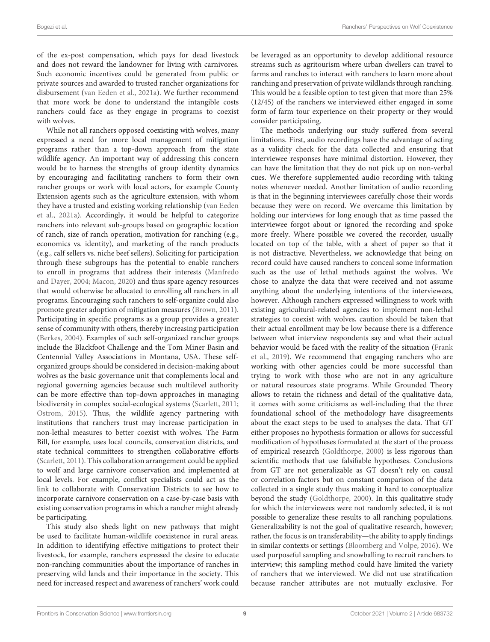of the ex-post compensation, which pays for dead livestock and does not reward the landowner for living with carnivores. Such economic incentives could be generated from public or private sources and awarded to trusted rancher organizations for disbursement [\(van Eeden et al., 2021a\)](#page-11-7). We further recommend that more work be done to understand the intangible costs ranchers could face as they engage in programs to coexist with wolves.

While not all ranchers opposed coexisting with wolves, many expressed a need for more local management of mitigation programs rather than a top-down approach from the state wildlife agency. An important way of addressing this concern would be to harness the strengths of group identity dynamics by encouraging and facilitating ranchers to form their own rancher groups or work with local actors, for example County Extension agents such as the agriculture extension, with whom they have a trusted and existing working relationship (van Eeden et al., [2021a\)](#page-11-7). Accordingly, it would be helpful to categorize ranchers into relevant sub-groups based on geographic location of ranch, size of ranch operation, motivation for ranching (e.g., economics vs. identity), and marketing of the ranch products (e.g., calf sellers vs. niche beef sellers). Soliciting for participation through these subgroups has the potential to enable ranchers to enroll in programs that address their interests (Manfredo and Dayer, [2004;](#page-10-26) [Macon, 2020\)](#page-10-10) and thus spare agency resources that would otherwise be allocated to enrolling all ranchers in all programs. Encouraging such ranchers to self-organize could also promote greater adoption of mitigation measures [\(Brown, 2011\)](#page-9-6). Participating in specific programs as a group provides a greater sense of community with others, thereby increasing participation [\(Berkes, 2004\)](#page-9-9). Examples of such self-organized rancher groups include the Blackfoot Challenge and the Tom Miner Basin and Centennial Valley Associations in Montana, USA. These selforganized groups should be considered in decision-making about wolves as the basic governance unit that complements local and regional governing agencies because such multilevel authority can be more effective than top-down approaches in managing biodiversity in complex social-ecological systems [\(Scarlett, 2011;](#page-11-21) [Ostrom, 2015\)](#page-10-44). Thus, the wildlife agency partnering with institutions that ranchers trust may increase participation in non-lethal measures to better coexist with wolves. The Farm Bill, for example, uses local councils, conservation districts, and state technical committees to strengthen collaborative efforts [\(Scarlett, 2011\)](#page-11-21). This collaboration arrangement could be applied to wolf and large carnivore conservation and implemented at local levels. For example, conflict specialists could act as the link to collaborate with Conservation Districts to see how to incorporate carnivore conservation on a case-by-case basis with existing conservation programs in which a rancher might already be participating.

This study also sheds light on new pathways that might be used to facilitate human-wildlife coexistence in rural areas. In addition to identifying effective mitigations to protect their livestock, for example, ranchers expressed the desire to educate non-ranching communities about the importance of ranches in preserving wild lands and their importance in the society. This need for increased respect and awareness of ranchers' work could be leveraged as an opportunity to develop additional resource streams such as agritourism where urban dwellers can travel to farms and ranches to interact with ranchers to learn more about ranching and preservation of private wildlands through ranching. This would be a feasible option to test given that more than 25% (12/45) of the ranchers we interviewed either engaged in some form of farm tour experience on their property or they would consider participating.

The methods underlying our study suffered from several limitations. First, audio recordings have the advantage of acting as a validity check for the data collected and ensuring that interviewee responses have minimal distortion. However, they can have the limitation that they do not pick up on non-verbal cues. We therefore supplemented audio recording with taking notes whenever needed. Another limitation of audio recording is that in the beginning interviewees carefully chose their words because they were on record. We overcame this limitation by holding our interviews for long enough that as time passed the interviewee forgot about or ignored the recording and spoke more freely. Where possible we covered the recorder, usually located on top of the table, with a sheet of paper so that it is not distractive. Nevertheless, we acknowledge that being on record could have caused ranchers to conceal some information such as the use of lethal methods against the wolves. We chose to analyze the data that were received and not assume anything about the underlying intentions of the interviewees, however. Although ranchers expressed willingness to work with existing agricultural-related agencies to implement non-lethal strategies to coexist with wolves, caution should be taken that their actual enrollment may be low because there is a difference between what interview respondents say and what their actual behavior would be faced with the reality of the situation (Frank et al., [2019\)](#page-10-21). We recommend that engaging ranchers who are working with other agencies could be more successful than trying to work with those who are not in any agriculture or natural resources state programs. While Grounded Theory allows to retain the richness and detail of the qualitative data, it comes with some criticisms as well-including that the three foundational school of the methodology have disagreements about the exact steps to be used to analyses the data. That GT either proposes no hypothesis formation or allows for successful modification of hypotheses formulated at the start of the process of empirical research [\(Goldthorpe, 2000\)](#page-10-45) is less rigorous than scientific methods that use falsifiable hypotheses. Conclusions from GT are not generalizable as GT doesn't rely on causal or correlation factors but on constant comparison of the data collected in a single study thus making it hard to conceptualize beyond the study [\(Goldthorpe, 2000\)](#page-10-45). In this qualitative study for which the interviewees were not randomly selected, it is not possible to generalize these results to all ranching populations. Generalizability is not the goal of qualitative research, however; rather, the focus is on transferability—the ability to apply findings in similar contexts or settings [\(Bloomberg and Volpe, 2016\)](#page-9-10). We used purposeful sampling and snowballing to recruit ranchers to interview; this sampling method could have limited the variety of ranchers that we interviewed. We did not use stratification because rancher attributes are not mutually exclusive. For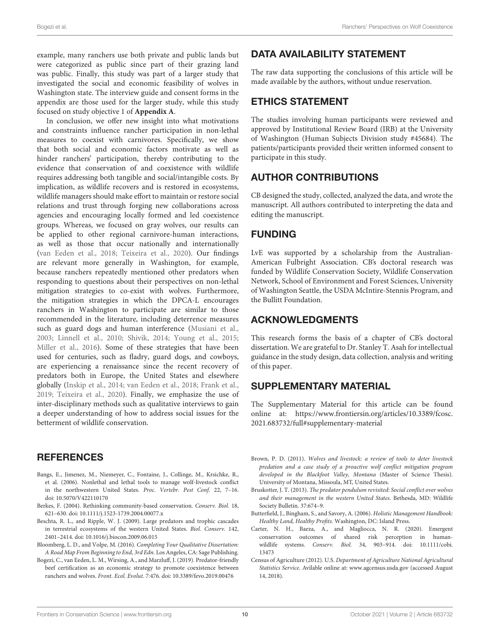example, many ranchers use both private and public lands but were categorized as public since part of their grazing land was public. Finally, this study was part of a larger study that investigated the social and economic feasibility of wolves in Washington state. The interview guide and consent forms in the appendix are those used for the larger study, while this study focused on study objective 1 of **[Appendix A](#page-9-4)**.

In conclusion, we offer new insight into what motivations and constraints influence rancher participation in non-lethal measures to coexist with carnivores. Specifically, we show that both social and economic factors motivate as well as hinder ranchers' participation, thereby contributing to the evidence that conservation of and coexistence with wildlife requires addressing both tangible and social/intangible costs. By implication, as wildlife recovers and is restored in ecosystems, wildlife managers should make effort to maintain or restore social relations and trust through forging new collaborations across agencies and encouraging locally formed and led coexistence groups. Whereas, we focused on gray wolves, our results can be applied to other regional carnivore-human interactions, as well as those that occur nationally and internationally [\(van Eeden et al., 2018;](#page-11-3) [Teixeira et al., 2020\)](#page-11-22). Our findings are relevant more generally in Washington, for example, because ranchers repeatedly mentioned other predators when responding to questions about their perspectives on non-lethal mitigation strategies to co-exist with wolves. Furthermore, the mitigation strategies in which the DPCA-L encourages ranchers in Washington to participate are similar to those recommended in the literature, including deterrence measures such as guard dogs and human interference [\(Musiani et al.,](#page-10-46) [2003;](#page-10-46) [Linnell et al., 2010;](#page-10-8) [Shivik, 2014;](#page-11-23) [Young et al., 2015;](#page-11-24) [Miller et al., 2016\)](#page-10-47). Some of these strategies that have been used for centuries, such as fladry, guard dogs, and cowboys, are experiencing a renaissance since the recent recovery of predators both in Europe, the United States and elsewhere globally [\(Inskip et al., 2014;](#page-10-40) [van Eeden et al., 2018;](#page-11-3) [Frank et al.,](#page-10-21) [2019;](#page-10-21) [Teixeira et al., 2020\)](#page-11-22). Finally, we emphasize the use of inter-disciplinary methods such as qualitative interviews to gain a deeper understanding of how to address social issues for the betterment of wildlife conservation.

### **REFERENCES**

- <span id="page-9-5"></span>Bangs, E., Jimenez, M., Niemeyer, C., Fontaine, J., Collinge, M., Krsichke, R., et al. (2006). Nonlethal and lethal tools to manage wolf-livestock conflict in the northwestern United States. Proc. Vertebr. Pest Conf. 22, 7–16. doi: [10.5070/V422110170](https://doi.org/10.5070/V422110170)
- <span id="page-9-9"></span>Berkes, F. (2004). Rethinking community-based conservation. Conserv. Biol. 18, 621–630. doi: [10.1111/j.1523-1739.2004.00077.x](https://doi.org/10.1111/j.1523-1739.2004.00077.x)
- <span id="page-9-0"></span>Beschta, R. L., and Ripple, W. J. (2009). Large predators and trophic cascades in terrestrial ecosystems of the western United States. Biol. Conserv. 142, 2401–2414. doi: [10.1016/j.biocon.2009.06.015](https://doi.org/10.1016/j.biocon.2009.06.015)
- <span id="page-9-10"></span>Bloomberg, L. D., and Volpe, M. (2016). Completing Your Qualitative Dissertation: A Road Map From Beginning to End, 3rd Edn. Los Angeles, CA: Sage Publishing.
- <span id="page-9-8"></span>Bogezi, C., van Eeden, L. M., Wirsing, A., and Marzluff, J. (2019). Predator-friendly beef certification as an economic strategy to promote coexistence between ranchers and wolves. Front. Ecol. Evolut. 7:476. doi: [10.3389/fevo.2019.00476](https://doi.org/10.3389/fevo.2019.00476)

# DATA AVAILABILITY STATEMENT

The raw data supporting the conclusions of this article will be made available by the authors, without undue reservation.

### ETHICS STATEMENT

The studies involving human participants were reviewed and approved by Institutional Review Board (IRB) at the University of Washington (Human Subjects Division study #45684). The patients/participants provided their written informed consent to participate in this study.

# AUTHOR CONTRIBUTIONS

CB designed the study, collected, analyzed the data, and wrote the manuscript. All authors contributed to interpreting the data and editing the manuscript.

### FUNDING

LvE was supported by a scholarship from the Australian-American Fulbright Association. CB's doctoral research was funded by Wildlife Conservation Society, Wildlife Conservation Network, School of Environment and Forest Sciences, University of Washington Seattle, the USDA McIntire-Stennis Program, and the Bullitt Foundation.

### ACKNOWLEDGMENTS

This research forms the basis of a chapter of CB's doctoral dissertation. We are grateful to Dr. Stanley T. Asah for intellectual guidance in the study design, data collection, analysis and writing of this paper.

### SUPPLEMENTARY MATERIAL

<span id="page-9-4"></span>The Supplementary Material for this article can be found [online at: https://www.frontiersin.org/articles/10.3389/fcosc.](https://www.frontiersin.org/articles/10.3389/fcosc.2021.683732/full#supplementary-material) 2021.683732/full#supplementary-material

- <span id="page-9-6"></span>Brown, P. D. (2011). Wolves and livestock: a review of tools to deter livestock predation and a case study of a proactive wolf conflict mitigation program developed in the Blackfoot Valley, Montana (Master of Science Thesis). University of Montana, Missoula, MT, United States.
- <span id="page-9-1"></span>Bruskotter, J. T. (2013). The predator pendulum revisited: Social conflict over wolves and their management in the western United States. Bethesda, MD: Wildlife Society Bulletin. 37:674–9.
- <span id="page-9-7"></span>Butterfield, J., Bingham, S., and Savory, A. (2006). Holistic Management Handbook: Healthy Land, Healthy Profits. Washington, DC: Island Press.
- <span id="page-9-3"></span>Carter, N. H., Baeza, A., and Magliocca, N. R. (2020). Emergent conservation outcomes of shared risk perception in humanwildlife systems. Conserv. Biol. [34, 903–914. doi: 10.1111/cobi.](https://doi.org/10.1111/cobi.13473) 13473
- <span id="page-9-2"></span>Census of Agriculture (2012). U.S. Department of Agriculture National Agricultural Statistics Service. Avilable online at: [www.agcensus.usda.gov](http://www.agcensus.usda.gov) (accessed August 14, 2018).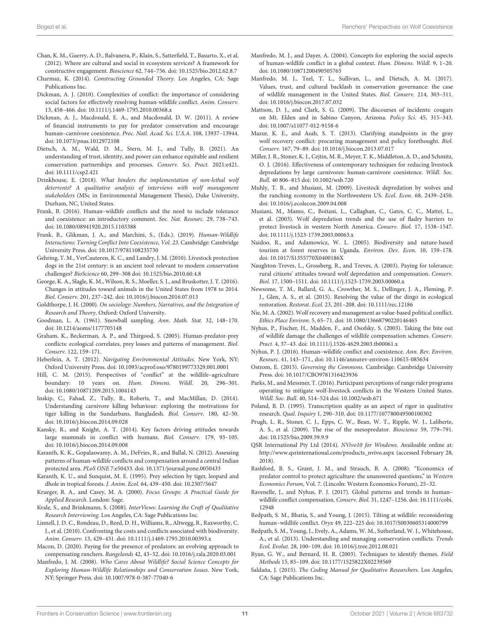- <span id="page-10-4"></span>Chan, K. M., Guerry, A. D., Balvanera, P., Klain, S., Satterfield, T., Basurto, X., et al. (2012). Where are cultural and social in ecosystem services? A framework for constructive engagement. Bioscience 62, 744–756. doi: [10.1525/bio.2012.62.8.7](https://doi.org/10.1525/bio.2012.62.8.7)
- <span id="page-10-28"></span>Charmaz, K. (2014). Constructing Grounded Theory. Los Angeles, CA: Sage Publications Inc.
- <span id="page-10-22"></span>Dickman, A. J. (2010). Complexities of conflict: the importance of considering social factors for effectively resolving human-wildlife conflict. Anim. Conserv. 13, 458–466. doi: [10.1111/j.1469-1795.2010.00368.x](https://doi.org/10.1111/j.1469-1795.2010.00368.x)
- <span id="page-10-14"></span>Dickman, A. J., Macdonald, E. A., and Macdonald, D. W. (2011). A review of financial instruments to pay for predator conservation and encourage human–carnivore coexistence. Proc. Natl. Acad. Sci. U.S.A. 108, 13937–13944. doi: [10.1073/pnas.1012972108](https://doi.org/10.1073/pnas.1012972108)
- <span id="page-10-31"></span>Dietsch, A. M., Wald, D. M., Stern, M. J., and Tully, B. (2021). An understanding of trust, identity, and power can enhance equitable and resilient conservation partnerships and processes. Conserv. Sci. Pract. 2021:e421. doi: [10.1111/csp2.421](https://doi.org/10.1111/csp2.421)
- <span id="page-10-20"></span>Drinkhouse, E. (2018). What hinders the implementation of non-lethal wolf deterrents? A qualitative analysis of interviews with wolf management stakeholders (MSc in Environmental Management Thesis), Duke University, Durham, NC, United States.
- <span id="page-10-6"></span>Frank, B. (2016). Human–wildlife conflicts and the need to include tolerance and coexistence: an introductory comment. Soc. Nat. Resourc. 29, 738–743. doi: [10.1080/08941920.2015.1103388](https://doi.org/10.1080/08941920.2015.1103388)
- <span id="page-10-21"></span>Frank, B., Glikman, J. A., and Marchini, S., (Eds.). (2019). Human-Wildlife Interactions: Turning Conflict Into Coexistence, Vol. 23. Cambridge: Cambridge University Press. doi: [10.1017/9781108235730](https://doi.org/10.1017/9781108235730)
- <span id="page-10-38"></span>Gehring, T. M., VerCauteren, K. C., and Landry, J. M. (2010). Livestock protection dogs in the 21st century: is an ancient tool relevant to modern conservation challenges? BioScience 60, 299–308 doi: [10.1525/bio.2010.60.4.8](https://doi.org/10.1525/bio.2010.60.4.8)
- <span id="page-10-24"></span>George, K. A., Slagle, K. M., Wilson, R. S., Moeller, S. J., and Bruskotter, J. T. (2016). Changes in attitudes toward animals in the United States from 1978 to 2014. Biol. Conserv. 201, 237–242. doi: [10.1016/j.biocon.2016.07.013](https://doi.org/10.1016/j.biocon.2016.07.013)
- <span id="page-10-45"></span>Goldthorpe, J. H. (2000). On sociology: Numbers, Narratives, and the Integration of Research and Theory. Oxford: Oxford University.
- <span id="page-10-32"></span>Goodman, L. A. (1961). Snowball sampling. Ann. Math. Stat. 32, 148–170. doi: [10.1214/aoms/1177705148](https://doi.org/10.1214/aoms/1177705148)
- <span id="page-10-12"></span>Graham, K., Beckerman, A. P., and Thirgood, S. (2005). Human-predator-prey conflicts: ecological correlates, prey losses and patterns of management. Biol. Conserv. 122, 159–171.
- <span id="page-10-30"></span>Heberlein, A. T. (2012). Navigating Environmental Attitudes. New York, NY: Oxford University Press. doi: [10.1093/acprof:oso/9780199773329.001.0001](https://doi.org/10.1093/acprof:oso/9780199773329.001.0001)
- <span id="page-10-18"></span>Hill, C. M. (2015). Perspectives of "conflict" at the wildlife–agriculture boundary: 10 years on. Hum. Dimens. Wildl. 20, 296–301. doi: [10.1080/10871209.2015.1004143](https://doi.org/10.1080/10871209.2015.1004143)
- <span id="page-10-40"></span>Inskip, C., Fahad, Z., Tully, R., Roberts, T., and MacMillan, D. (2014). Understanding carnivore killing behaviour: exploring the motivations for tiger killing in the Sundarbans, Bangladesh. Biol. Conserv. 180, 42–50. doi: [10.1016/j.biocon.2014.09.028](https://doi.org/10.1016/j.biocon.2014.09.028)
- <span id="page-10-17"></span>Kansky, R., and Knight, A. T. (2014). Key factors driving attitudes towards large mammals in conflict with humans. Biol. Conserv. 179, 93–105. doi: [10.1016/j.biocon.2014.09.008](https://doi.org/10.1016/j.biocon.2014.09.008)
- <span id="page-10-15"></span>Karanth, K. K., Gopalaswamy, A. M., DeFries, R., and Ballal, N. (2012). Assessing patterns of human-wildlife conflicts and compensation around a central Indian protected area. PLoS ONE 7:e50433. doi: [10.1371/journal.pone.0050433](https://doi.org/10.1371/journal.pone.0050433)
- <span id="page-10-11"></span>Karanth, K. U., and Sunquist, M. E. (1995). Prey selection by tiger, leopard and dhole in tropical forests. J. Anim. Ecol. 64, 439–450. doi: [10.2307/5647](https://doi.org/10.2307/5647)
- <span id="page-10-27"></span>Krueger, R. A., and Casey, M. A. (2000). Focus Groups: A Practical Guide for Applied Research. London: Sage.
- <span id="page-10-33"></span>Kvale, S., and Brinkmann, S. (2008). InterViews: Learning the Craft of Qualitative Research Interviewing. Los Angeles, CA: Sage Publications Inc.
- <span id="page-10-8"></span>Linnell, J. D. C., Rondeau, D., Reed, D. H., Williams, R., Altwegg, R., Raxworthy, C. J., et al. (2010). Confronting the costs and conflicts associated with biodiversity. Anim. Conserv. 13, 429–431. doi: [10.1111/j.1469-1795.2010.00393.x](https://doi.org/10.1111/j.1469-1795.2010.00393.x)
- <span id="page-10-10"></span>Macon, D. (2020). Paying for the presence of predators: an evolving approach to compensating ranchers. Rangelands 42, 43–52. doi: [10.1016/j.rala.2020.03.001](https://doi.org/10.1016/j.rala.2020.03.001)
- <span id="page-10-16"></span>Manfredo, J. M. (2008). Who Cares About Wildlife? Social Science Concepts for Exploring Human-Wildlife Relationships and Conservation Issues. New York, NY: Springer Press. doi: [10.1007/978-0-387-77040-6](https://doi.org/10.1007/978-0-387-77040-6)
- <span id="page-10-26"></span>Manfredo, M. J., and Dayer, A. (2004). Concepts for exploring the social aspects of human-wildlife conflict in a global context. Hum. Dimens. Wildl. 9, 1–20. doi: [10.1080/10871200490505765](https://doi.org/10.1080/10871200490505765)
- <span id="page-10-7"></span>Manfredo, M. J., Teel, T. L., Sullivan, L., and Dietsch, A. M. (2017). Values, trust, and cultural backlash in conservation governance: the case of wildlife management in the United States. Biol. Conserv. 214, 303–311. doi: [10.1016/j.biocon.2017.07.032](https://doi.org/10.1016/j.biocon.2017.07.032)
- <span id="page-10-29"></span>Mattson, D. J., and Clark, S. G. (2009). The discourses of incidents: cougars on Mt. Elden and in Sabino Canyon, Arizona. Policy Sci. 45, 315–343. doi: [10.1007/s11077-012-9158-6](https://doi.org/10.1007/s11077-012-9158-6)
- <span id="page-10-25"></span>Mazur, K. E., and Asah, S. T. (2013). Clarifying standpoints in the gray wolf recovery conflict: procuring management and policy forethought. Biol. Conserv. 167, 79–89. doi: [10.1016/j.biocon.2013.07.017](https://doi.org/10.1016/j.biocon.2013.07.017)
- <span id="page-10-47"></span>Miller, J. R., Stoner, K. J., Cejtin, M. R., Meyer, T. K., Middleton, A. D., and Schmitz, O. J. (2016). Effectiveness of contemporary techniques for reducing livestock depredations by large carnivores: human-carnivore coexistence. Wildl. Soc. Bull. 40 806–815 doi: [10.1002/wsb.720](https://doi.org/10.1002/wsb.720)
- <span id="page-10-13"></span>Muhly, T. B., and Musiani, M. (2009). Livestock depredation by wolves and the ranching economy in the Northwestern US. Ecol. Econ. 68, 2439–2450. doi: [10.1016/j.ecolecon.2009.04.008](https://doi.org/10.1016/j.ecolecon.2009.04.008)
- <span id="page-10-46"></span>Musiani, M., Mamo, C., Boitani, L., Callaghan, C., Gates, C. C., Mattei, L., et al. (2003). Wolf depredation trends and the use of fladry barriers to protect livestock in western North America. Conserv. Biol. 17, 1538–1547. doi: [10.1111/j.1523-1739.2003.00063.x](https://doi.org/10.1111/j.1523-1739.2003.00063.x)
- <span id="page-10-3"></span>Naidoo, R., and Adamowicz, W. L. (2005). Biodiversity and nature-based tourism at forest reserves in Uganda. Environ. Dev. Econ. 10, 159–178. doi: [10.1017/S1355770X0400186X](https://doi.org/10.1017/S1355770X0400186X)
- <span id="page-10-42"></span>Naughton-Treves, L., Grossberg, R., and Treves, A. (2003). Paying for tolerance: rural citizens' attitudes toward wolf depredation and compensation. Conserv. Biol. 17, 1500–1511. doi: [10.1111/j.1523-1739.2003.00060.x](https://doi.org/10.1111/j.1523-1739.2003.00060.x)
- <span id="page-10-1"></span>Newsome, T. M., Ballard, G. A., Crowther, M. S., Dellinger, J. A., Fleming, P. J., Glen, A. S., et al. (2015). Resolving the value of the dingo in ecological restoration. Restorat. Ecol. 23, 201–208. doi: [10.1111/rec.12186](https://doi.org/10.1111/rec.12186)
- <span id="page-10-2"></span>Nie, M. A. (2002). Wolf recovery and management as value-based political conflict. Ethics Place Environ. 5, 65–71. doi: [10.1080/13668790220146465](https://doi.org/10.1080/13668790220146465)
- <span id="page-10-41"></span>Nyhus, P., Fischer, H., Madden, F., and Osofsky, S. (2003). Taking the bite out of wildlife damage the challenges of wildlife compensation schemes. Conserv. Pract. 4, 37–43. doi: [10.1111/j.1526-4629.2003.tb00061.x](https://doi.org/10.1111/j.1526-4629.2003.tb00061.x)
- <span id="page-10-19"></span>Nyhus, P. J. (2016). Human–wildlife conflict and coexistence. Ann. Rev. Environ. Resourc. 41, 143–171., doi: [10.1146/annurev-environ-110615-085634](https://doi.org/10.1146/annurev-environ-110615-085634)
- <span id="page-10-44"></span>Ostrom, E. (2015). Governing the Commons. Cambridge: Cambridge University Press. doi: [10.1017/CBO9781316423936](https://doi.org/10.1017/CBO9781316423936)
- <span id="page-10-39"></span>Parks, M., and Messmer, T. (2016). Participant perceptions of range rider programs operating to mitigate wolf-livestock conflicts in the Western United States. Wildl. Soc. Bull. 40, 514–524 doi: [10.1002/wsb.671](https://doi.org/10.1002/wsb.671)
- <span id="page-10-35"></span>Poland, B. D. (1995). Transcription quality as an aspect of rigor in qualitative research. Qual. Inquiry 1, 290–310. doi: [10.1177/107780049500100302](https://doi.org/10.1177/107780049500100302)
- <span id="page-10-0"></span>Prugh, L. R., Stoner, C. J., Epps, C. W., Bean, W. T., Ripple, W. J., Laliberte, A. S., et al. (2009). The rise of the mesopredator. Bioscience 59, 779–791. doi: [10.1525/bio.2009.59.9.9](https://doi.org/10.1525/bio.2009.59.9.9)
- <span id="page-10-36"></span>QSR International Pty Ltd (2014). NVivo10 for Windows. Availoable online at: [http://www.qsrinternational.com/products\\_nvivo.aspx](http://www.qsrinternational.com/products_nvivo.aspx) (accessed February 28, 2018).
- <span id="page-10-23"></span>Rashford, B. S., Grant, J. M., and Strauch, B. A. (2008). "Economics of predator control to protect agriculture: the unanswered questions," in Western Economics Forum, Vol. 7. (Lincoln: Western Economics Forum), 25–32.
- <span id="page-10-9"></span>Ravenelle, J., and Nyhus, P. J. (2017). Global patterns and trends in human– wildlife conflict compensation. Conserv. Biol. [31, 1247–1256. doi: 10.1111/cobi.](https://doi.org/10.1111/cobi.12948) 12948
- <span id="page-10-43"></span>Redpath, S. M., Bhatia, S., and Young, J. (2015). Tilting at wildlife: reconsidering human–wildlife conflict. Oryx 49, 222–225 doi: [10.1017/S0030605314000799](https://doi.org/10.1017/S0030605314000799)
- <span id="page-10-5"></span>Redpath, S. M., Young, J., Evely, A., Adams, W. M., Sutherland, W. J., Whitehouse, A., et al. (2013). Understanding and managing conservation conflicts. Trends Ecol. Evolut. 28, 100–109. doi: [10.1016/j.tree.2012.08.021](https://doi.org/10.1016/j.tree.2012.08.021)
- <span id="page-10-37"></span>Ryan, G. W., and Bernard, H. R. (2003). Techniques to identify themes. Field Methods 15, 85–109. doi: [10.1177/1525822X02239569](https://doi.org/10.1177/1525822X02239569)
- <span id="page-10-34"></span>Saldaña, J. (2015). The Coding Manual for Qualitative Researchers. Los Angeles, CA: Sage Publications Inc.